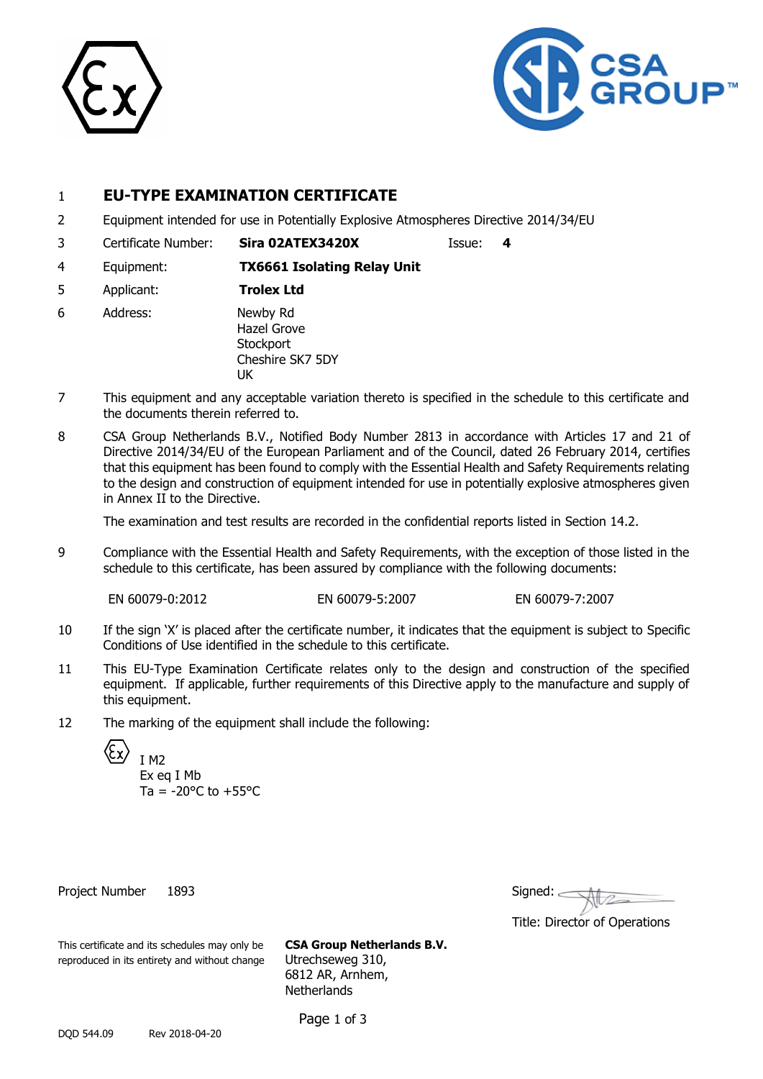



# 1 **EU-TYPE EXAMINATION CERTIFICATE**

- 2 Equipment intended for use in Potentially Explosive Atmospheres Directive 2014/34/EU
- 3 Certificate Number: **Sira 02ATEX3420X** Issue: **4**
	-
- 4 Equipment: **TX6661 Isolating Relay Unit**
- 5 Applicant: **Trolex Ltd**
- 6 Address: Newby Rd Hazel Grove **Stockport** Cheshire SK7 5DY UK
- 7 This equipment and any acceptable variation thereto is specified in the schedule to this certificate and the documents therein referred to.
- 8 CSA Group Netherlands B.V., Notified Body Number 2813 in accordance with Articles 17 and 21 of Directive 2014/34/EU of the European Parliament and of the Council, dated 26 February 2014, certifies that this equipment has been found to comply with the Essential Health and Safety Requirements relating to the design and construction of equipment intended for use in potentially explosive atmospheres given in Annex II to the Directive.

The examination and test results are recorded in the confidential reports listed in Section 14.2.

9 Compliance with the Essential Health and Safety Requirements, with the exception of those listed in the schedule to this certificate, has been assured by compliance with the following documents:

EN 60079-0:2012 EN 60079-5:2007 EN 60079-7:2007

- 10 If the sign 'X' is placed after the certificate number, it indicates that the equipment is subject to Specific Conditions of Use identified in the schedule to this certificate.
- 11 This EU-Type Examination Certificate relates only to the design and construction of the specified equipment. If applicable, further requirements of this Directive apply to the manufacture and supply of this equipment.
- 12 The marking of the equipment shall include the following:

I M2

Ex eq I Mb Ta =  $-20^{\circ}$ C to  $+55^{\circ}$ C

Project Number 1893

| Signed: |  |
|---------|--|
|         |  |

Title: Director of Operations

This certificate and its schedules may only be **CSA Group Netherlands B.V.** reproduced in its entirety and without change Utrechseweg 310,

6812 AR, Arnhem, **Netherlands** 

Page 1 of 3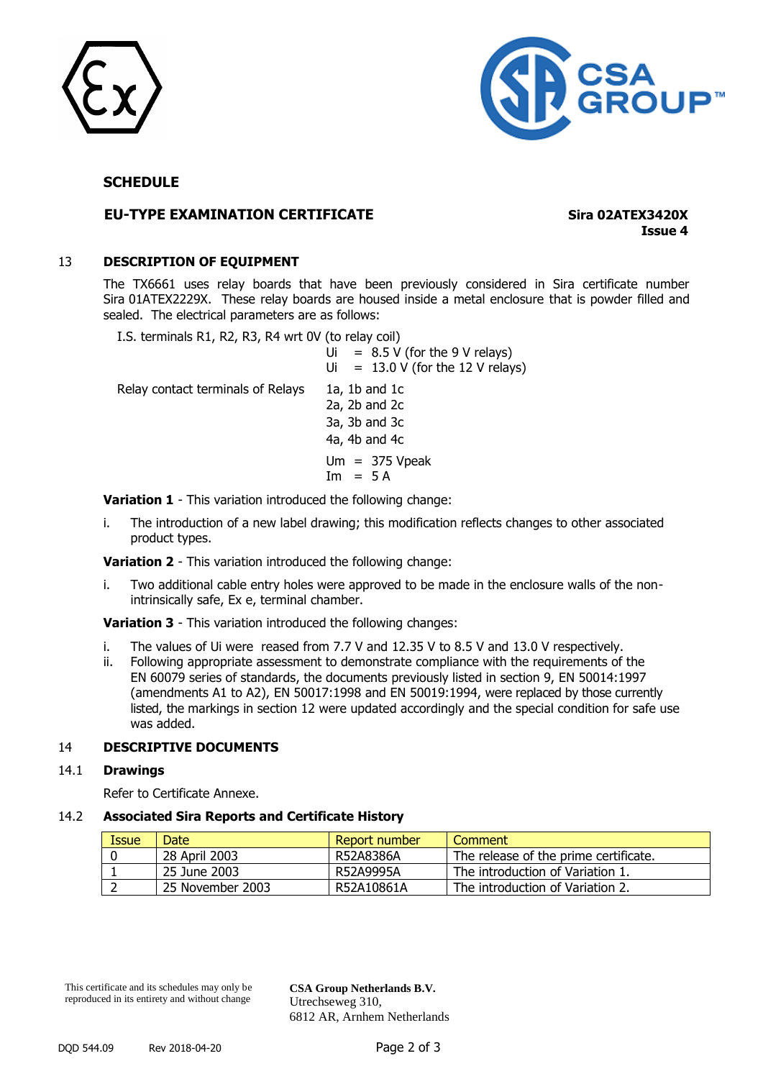



# **SCHEDULE**

# **EU-TYPE EXAMINATION CERTIFICATE Sira 02ATEX3420X**

**Issue 4**

### 13 **DESCRIPTION OF EQUIPMENT**

The TX6661 uses relay boards that have been previously considered in Sira certificate number Sira 01ATEX2229X. These relay boards are housed inside a metal enclosure that is powder filled and sealed. The electrical parameters are as follows:

I.S. terminals R1, R2, R3, R4 wrt 0V (to relay coil)  $Ui = 8.5 V$  (for the 9 V relays)  $Ui = 13.0 V (for the 12 V relays)$ Relay contact terminals of Relays 1a, 1b and 1c 2a, 2b and 2c 3a, 3b and 3c 4a, 4b and 4c  $Um = 375 Vpeak$  $Im = 5 A$ 

**Variation 1** - This variation introduced the following change:

i. The introduction of a new label drawing; this modification reflects changes to other associated product types.

**Variation 2** - This variation introduced the following change:

i. Two additional cable entry holes were approved to be made in the enclosure walls of the nonintrinsically safe, Ex e, terminal chamber.

**Variation 3** - This variation introduced the following changes:

- i. The values of Ui were reased from 7.7 V and 12.35 V to 8.5 V and 13.0 V respectively.
- ii. Following appropriate assessment to demonstrate compliance with the requirements of the EN 60079 series of standards, the documents previously listed in section 9, EN 50014:1997 (amendments A1 to A2), EN 50017:1998 and EN 50019:1994, were replaced by those currently listed, the markings in section 12 were updated accordingly and the special condition for safe use was added.

### 14 **DESCRIPTIVE DOCUMENTS**

### 14.1 **Drawings**

Refer to Certificate Annexe.

#### 14.2 **Associated Sira Reports and Certificate History**

| Issue | Date             | Report number | Comment                               |
|-------|------------------|---------------|---------------------------------------|
|       | 28 April 2003    | R52A8386A     | The release of the prime certificate. |
|       | 25 June 2003     | R52A9995A     | The introduction of Variation 1.      |
|       | 25 November 2003 | R52A10861A    | The introduction of Variation 2.      |

This certificate and its schedules may only be reproduced in its entirety and without change

**CSA Group Netherlands B.V.** Utrechseweg 310, 6812 AR, Arnhem Netherlands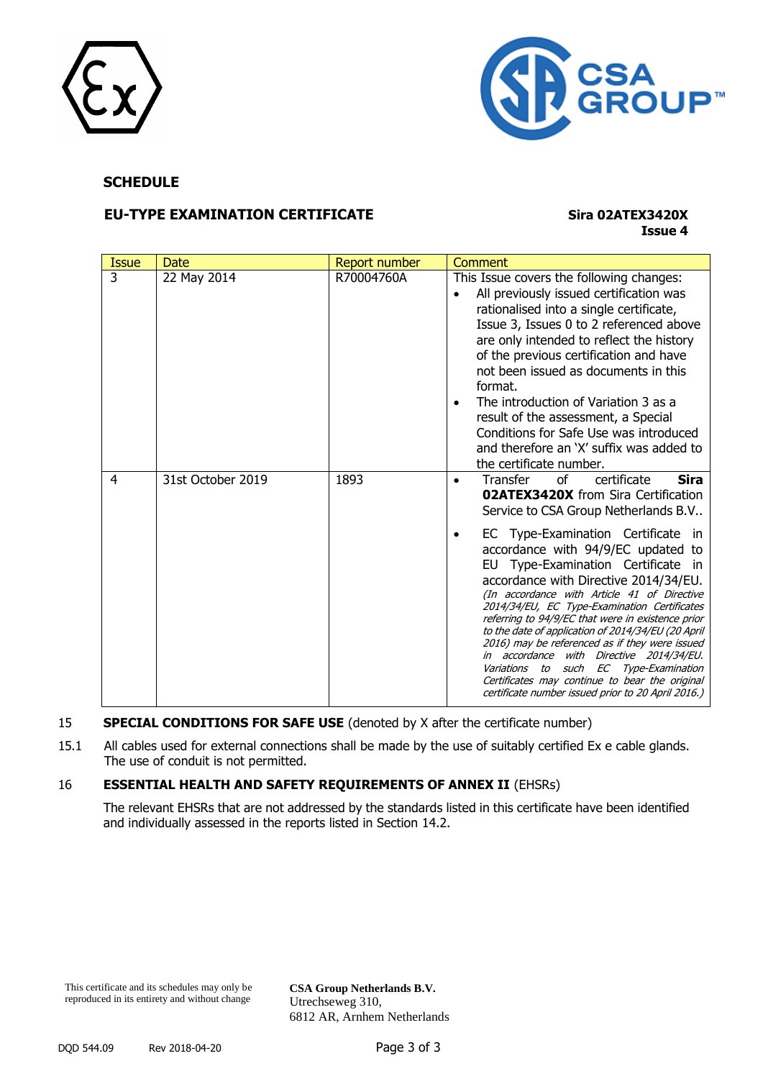



# **SCHEDULE**

# **EU-TYPE EXAMINATION CERTIFICATE Sira 02ATEX3420X**

# **Issue 4**

| <b>Issue</b> | Date              | Report number | Comment                                                                                                                                                                                                                                                                                                                                                                                                                                                                                                                                                                                                                                                                                                                                                    |
|--------------|-------------------|---------------|------------------------------------------------------------------------------------------------------------------------------------------------------------------------------------------------------------------------------------------------------------------------------------------------------------------------------------------------------------------------------------------------------------------------------------------------------------------------------------------------------------------------------------------------------------------------------------------------------------------------------------------------------------------------------------------------------------------------------------------------------------|
| 3            | 22 May 2014       | R70004760A    | This Issue covers the following changes:<br>All previously issued certification was<br>rationalised into a single certificate,<br>Issue 3, Issues 0 to 2 referenced above<br>are only intended to reflect the history<br>of the previous certification and have<br>not been issued as documents in this<br>format.<br>The introduction of Variation 3 as a<br>result of the assessment, a Special<br>Conditions for Safe Use was introduced<br>and therefore an 'X' suffix was added to<br>the certificate number.                                                                                                                                                                                                                                         |
| 4            | 31st October 2019 | 1893          | <b>Sira</b><br>of<br>certificate<br>Transfer<br><b>02ATEX3420X</b> from Sira Certification<br>Service to CSA Group Netherlands B.V<br>EC Type-Examination Certificate in<br>accordance with 94/9/EC updated to<br>EU Type-Examination Certificate in<br>accordance with Directive 2014/34/EU.<br>(In accordance with Article 41 of Directive<br>2014/34/EU, EC Type-Examination Certificates<br>referring to 94/9/EC that were in existence prior<br>to the date of application of 2014/34/EU (20 April<br>2016) may be referenced as if they were issued<br>in accordance with Directive 2014/34/EU.<br>Variations to<br>such EC Type-Examination<br>Certificates may continue to bear the original<br>certificate number issued prior to 20 April 2016.) |

### 15 **SPECIAL CONDITIONS FOR SAFE USE** (denoted by X after the certificate number)

15.1 All cables used for external connections shall be made by the use of suitably certified Ex e cable glands. The use of conduit is not permitted.

### 16 **ESSENTIAL HEALTH AND SAFETY REQUIREMENTS OF ANNEX II** (EHSRs)

The relevant EHSRs that are not addressed by the standards listed in this certificate have been identified and individually assessed in the reports listed in Section 14.2.

**CSA Group Netherlands B.V.** Utrechseweg 310, 6812 AR, Arnhem Netherlands